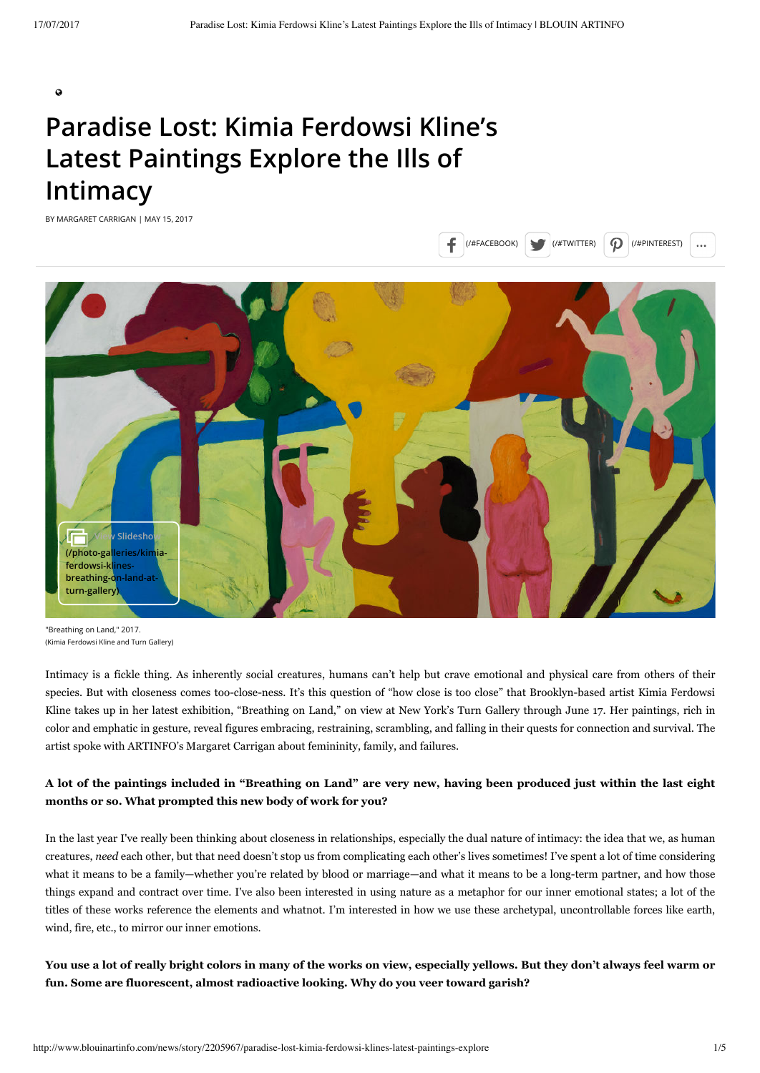$\bullet$ 

# **Paradise Lost: Kimia Ferdowsi Kline's Latest Paintings Explore the Ills of Intimacy**

BY MARGARET CARRIGAN | MAY 15, 2017



```
"Breathing on Land," 2017.
(Kimia Ferdowsi Kline and Turn Gallery)
```
Intimacy is a fickle thing. As inherently social creatures, humans can't help but crave emotional and physical care from others of their species. But with closeness comes too-close-ness. It's this question of "how close is too close" that Brooklyn-based artist Kimia Ferdowsi Kline takes up in her latest exhibition, "Breathing on Land," on view at New York's Turn Gallery through June 17. Her paintings, rich in color and emphatic in gesture, reveal figures embracing, restraining, scrambling, and falling in their quests for connection and survival. The artist spoke with ARTINFO's Margaret Carrigan about femininity, family, and failures.

## **A lot of the paintings included in "Breathing on Land" are very new, having been produced just within the last eight months or so. What prompted this new body of work for you?**

In the last year I've really been thinking about closeness in relationships, especially the dual nature of intimacy: the idea that we, as human creatures, *need* each other, but that need doesn't stop us from complicating each other's lives sometimes! I've spent a lot of time considering what it means to be a family—whether you're related by blood or marriage—and what it means to be a long-term partner, and how those things expand and contract over time. I've also been interested in using nature as a metaphor for our inner emotional states; a lot of the titles of these works reference the elements and whatnot. I'm interested in how we use these archetypal, uncontrollable forces like earth, wind, fire, etc., to mirror our inner emotions.

**You use a lot of really bright colors in many of the works on view, especially yellows. But they don't always feel warm or fun. Some are fluorescent, almost radioactive looking. Why do you veer toward garish?**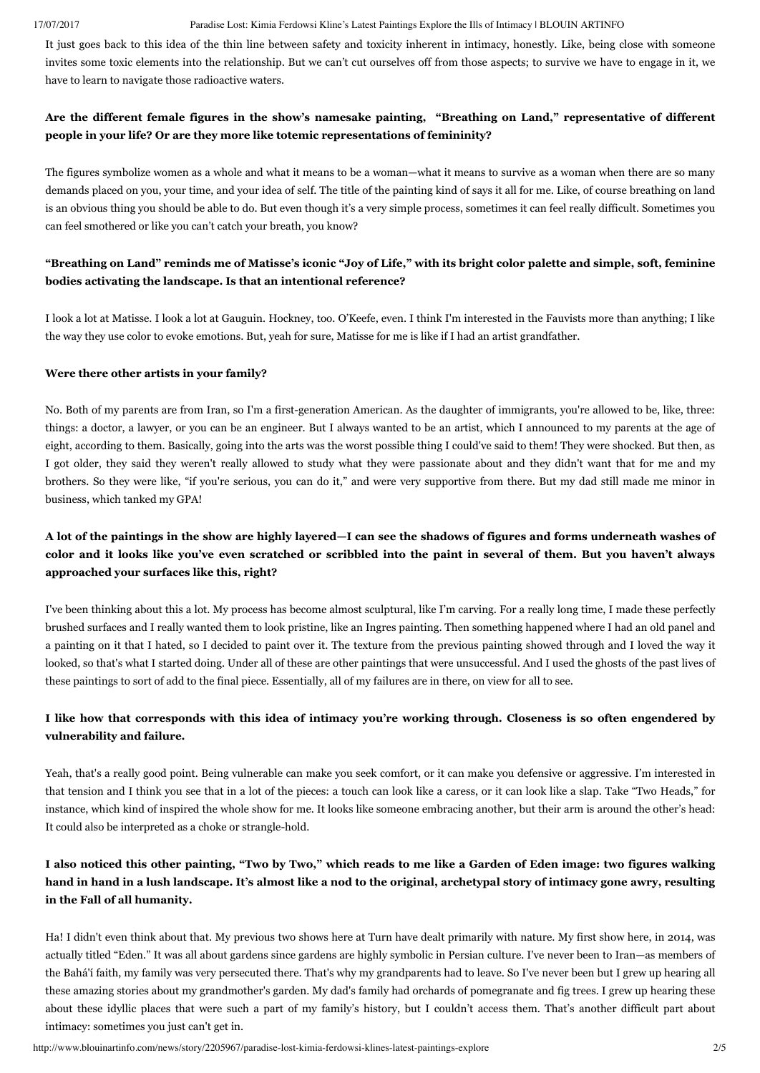#### 17/07/2017 Paradise Lost: Kimia Ferdowsi Kline's Latest Paintings Explore the Ills of Intimacy | BLOUIN ARTINFO

It just goes back to this idea of the thin line between safety and toxicity inherent in intimacy, honestly. Like, being close with someone invites some toxic elements into the relationship. But we can't cut ourselves off from those aspects; to survive we have to engage in it, we have to learn to navigate those radioactive waters.

## **Are the different female figures in the show's namesake painting, "Breathing on Land," representative of different people in your life? Or are they more like totemic representations of femininity?**

The figures symbolize women as a whole and what it means to be a woman—what it means to survive as a woman when there are so many demands placed on you, your time, and your idea of self. The title of the painting kind of says it all for me. Like, of course breathing on land is an obvious thing you should be able to do. But even though it's a very simple process, sometimes it can feel really difficult. Sometimes you can feel smothered or like you can't catch your breath, you know?

## **"Breathing on Land" reminds me of Matisse's iconic "Joy of Life," with its bright color palette and simple, soft, feminine bodies activating the landscape. Is that an intentional reference?**

I look a lot at Matisse. I look a lot at Gauguin. Hockney, too. O'Keefe, even. I think I'm interested in the Fauvists more than anything; I like the way they use color to evoke emotions. But, yeah for sure, Matisse for me is like if I had an artist grandfather.

#### **Were there other artists in your family?**

No. Both of my parents are from Iran, so I'm a first-generation American. As the daughter of immigrants, you're allowed to be, like, three: things: a doctor, a lawyer, or you can be an engineer. But I always wanted to be an artist, which I announced to my parents at the age of eight, according to them. Basically, going into the arts was the worst possible thing I could've said to them! They were shocked. But then, as I got older, they said they weren't really allowed to study what they were passionate about and they didn't want that for me and my brothers. So they were like, "if you're serious, you can do it," and were very supportive from there. But my dad still made me minor in business, which tanked my GPA!

## **A lot of the paintings in the show are highly layered—I can see the shadows of figures and forms underneath washes of** color and it looks like you've even scratched or scribbled into the paint in several of them. But you haven't always **approached your surfaces like this, right?**

I've been thinking about this a lot. My process has become almost sculptural, like I'm carving. For a really long time, I made these perfectly brushed surfaces and I really wanted them to look pristine, like an Ingres painting. Then something happened where I had an old panel and a painting on it that I hated, so I decided to paint over it. The texture from the previous painting showed through and I loved the way it looked, so that's what I started doing. Under all of these are other paintings that were unsuccessful. And I used the ghosts of the past lives of these paintings to sort of add to the final piece. Essentially, all of my failures are in there, on view for all to see.

## **I like how that corresponds with this idea of intimacy you're working through. Closeness is so often engendered by vulnerability and failure.**

Yeah, that's a really good point. Being vulnerable can make you seek comfort, or it can make you defensive or aggressive. I'm interested in that tension and I think you see that in a lot of the pieces: a touch can look like a caress, or it can look like a slap. Take "Two Heads," for instance, which kind of inspired the whole show for me. It looks like someone embracing another, but their arm is around the other's head: It could also be interpreted as a choke or strangle-hold.

# **I also noticed this other painting, "Two by Two," which reads to me like a Garden of Eden image: two figures walking hand in hand in a lush landscape. It's almost like a nod to the original, archetypal story of intimacy gone awry, resulting in the Fall of all humanity.**

Ha! I didn't even think about that. My previous two shows here at Turn have dealt primarily with nature. My first show here, in 2014, was actually titled "Eden." It was all about gardens since gardens are highly symbolic in Persian culture. I've never been to Iran—as members of the Bahá'í faith, my family was very persecuted there. That's why my grandparents had to leave. So I've never been but I grew up hearing all these amazing stories about my grandmother's garden. My dad's family had orchards of pomegranate and fig trees. I grew up hearing these about these idyllic places that were such a part of my family's history, but I couldn't access them. That's another difficult part about intimacy: sometimes you just can't get in.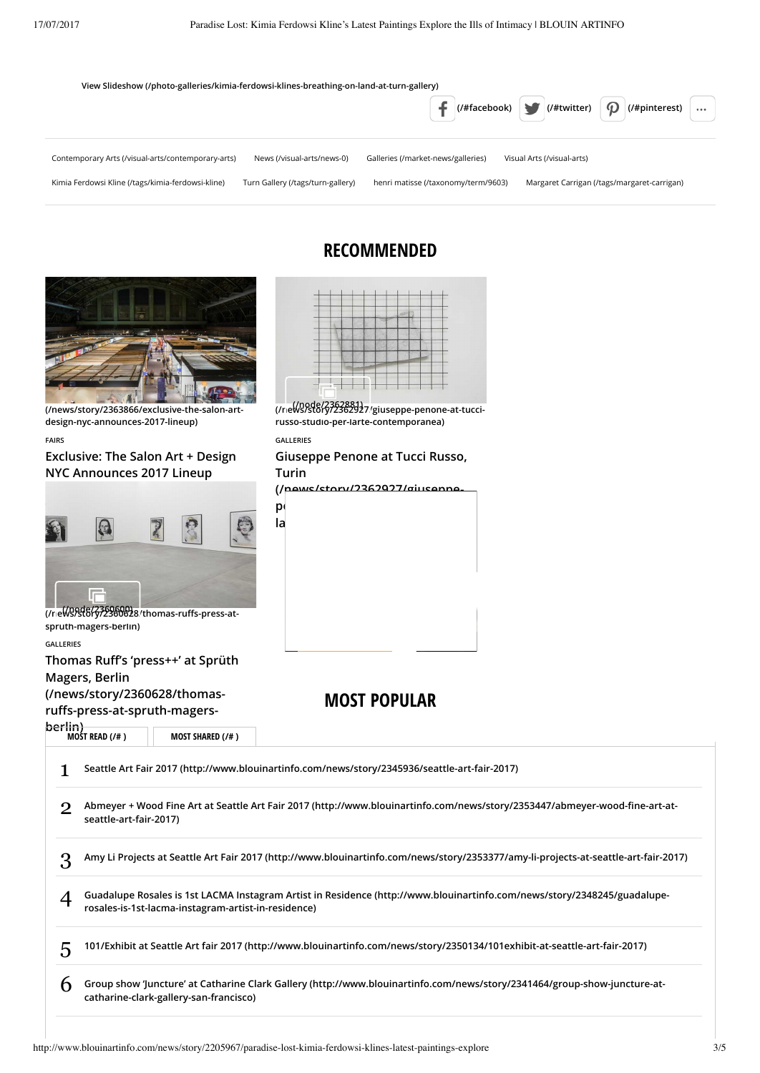





**(/news/story/2360628/thomas-rus-press-at-[\(/node/2360600\)](http://www.blouinartinfo.com/node/2360600) spruth-magers-berlin)**

**GALLERIES**

Thomas Ruff's 'press++' at Sprüth

**[MOST READ \(/# \)](http://www.blouinartinfo.com/#) [MOST SHARED \(/# \)](http://www.blouinartinfo.com/#)**

**Magers, Berlin**

**(/news/story/2360628/thomas-**

ruffs-press-at-spruth-magers-

**berlin)**<br>MOST READ (/# )

**MOST POPULAR**

|   | Seattle Art Fair 2017 (http://www.blouinartinfo.com/news/story/2345936/seattle-art-fair-2017)                                                                                   |
|---|---------------------------------------------------------------------------------------------------------------------------------------------------------------------------------|
|   | Abmeyer + Wood Fine Art at Seattle Art Fair 2017 (http://www.blouinartinfo.com/news/story/2353447/abmeyer-wood-fine-art-at-<br>seattle-art-fair-2017)                           |
|   | Amy Li Projects at Seattle Art Fair 2017 (http://www.blouinartinfo.com/news/story/2353377/amy-li-projects-at-seattle-art-fair-2017)                                             |
|   | Guadalupe Rosales is 1st LACMA Instagram Artist in Residence (http://www.blouinartinfo.com/news/story/2348245/guadalupe-<br>rosales-is-1st-lacma-instagram-artist-in-residence) |
| 5 | 101/Exhibit at Seattle Art fair 2017 (http://www.blouinartinfo.com/news/story/2350134/101exhibit-at-seattle-art-fair-2017)                                                      |
|   | Group show 'Juncture' at Catharine Clark Gallery (http://www.blouinartinfo.com/news/story/2341464/group-show-juncture-at-<br>catharine-clark-gallery-san-francisco)             |

# **RECOMMENDED**



**[\(/news/story/2362927/giuseppe-penone-at-tucci-](http://www.blouinartinfo.com/news/story/2362927/giuseppe-penone-at-tucci-russo-studio-per-larte-contemporanea)[\(/node/2362881\)](http://www.blouinartinfo.com/node/2362881) russo-studio-per-larte-contemporanea)**

**GALLERIES**

**Giuseppe Penone at Tucci Russo, Turin**

**(/news/story/2362927/giuseppe[penone-at-tucci-russo-studio-per-](http://www.blouinartinfo.com/news/story/2362927/giuseppe-penone-at-tucci-russo-studio-per-larte-contemporanea)**

**larte-contemporanea)**